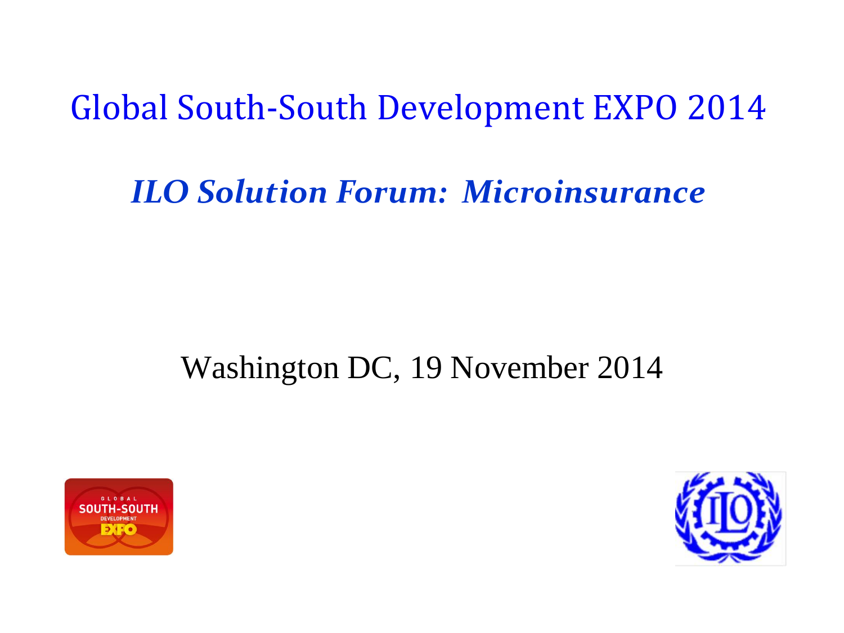Global South-South Development EXPO 2014

#### *ILO Solution Forum: Microinsurance*

#### Washington DC, 19 November 2014



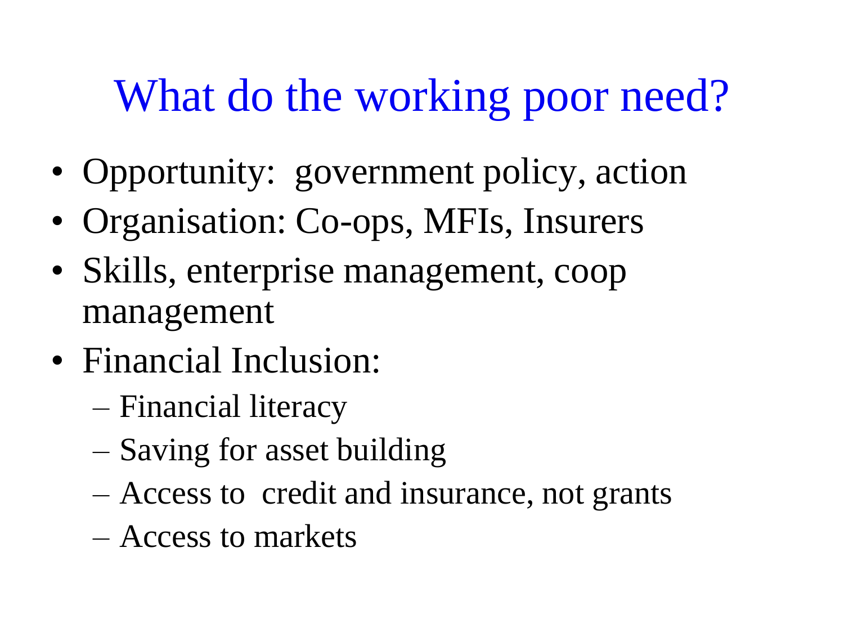# What do the working poor need?

- Opportunity: government policy, action
- Organisation: Co-ops, MFIs, Insurers
- Skills, enterprise management, coop management
- Financial Inclusion:
	- Financial literacy
	- Saving for asset building
	- Access to credit and insurance, not grants
	- Access to markets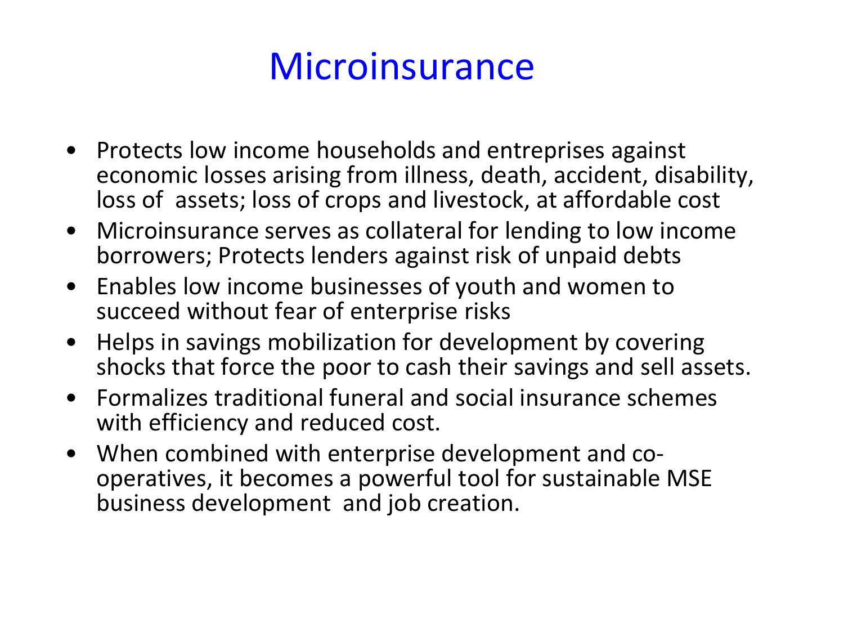#### **Microinsurance**

- Protects low income households and entreprises against economic losses arising from illness, death, accident, disability, loss of assets; loss of crops and livestock, at affordable cost
- Microinsurance serves as collateral for lending to low income borrowers; Protects lenders against risk of unpaid debts
- Enables low income businesses of youth and women to succeed without fear of enterprise risks
- Helps in savings mobilization for development by covering shocks that force the poor to cash their savings and sell assets.
- Formalizes traditional funeral and social insurance schemes with efficiency and reduced cost.
- When combined with enterprise development and cooperatives, it becomes a powerful tool for sustainable MSE business development and job creation.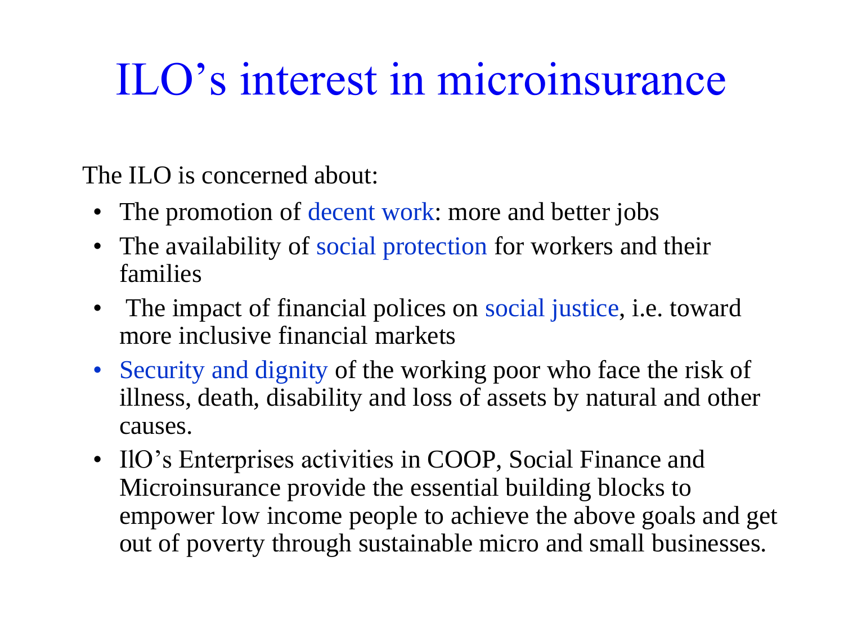# ILO's interest in microinsurance

The ILO is concerned about:

- The promotion of decent work: more and better jobs
- The availability of social protection for workers and their families
- The impact of financial polices on social justice, i.e. toward more inclusive financial markets
- Security and dignity of the working poor who face the risk of illness, death, disability and loss of assets by natural and other causes.
- IlO's Enterprises activities in COOP, Social Finance and Microinsurance provide the essential building blocks to empower low income people to achieve the above goals and get out of poverty through sustainable micro and small businesses.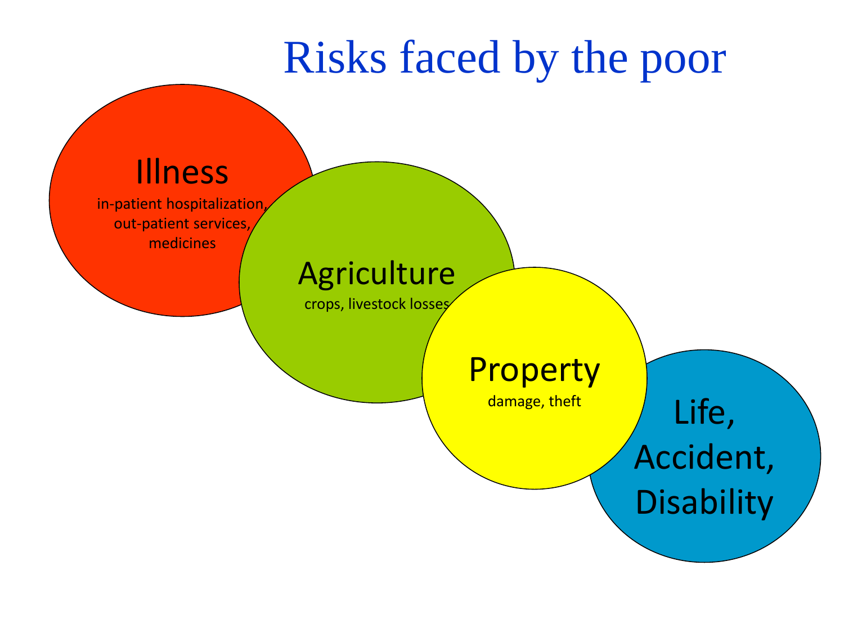## Risks faced by the poor

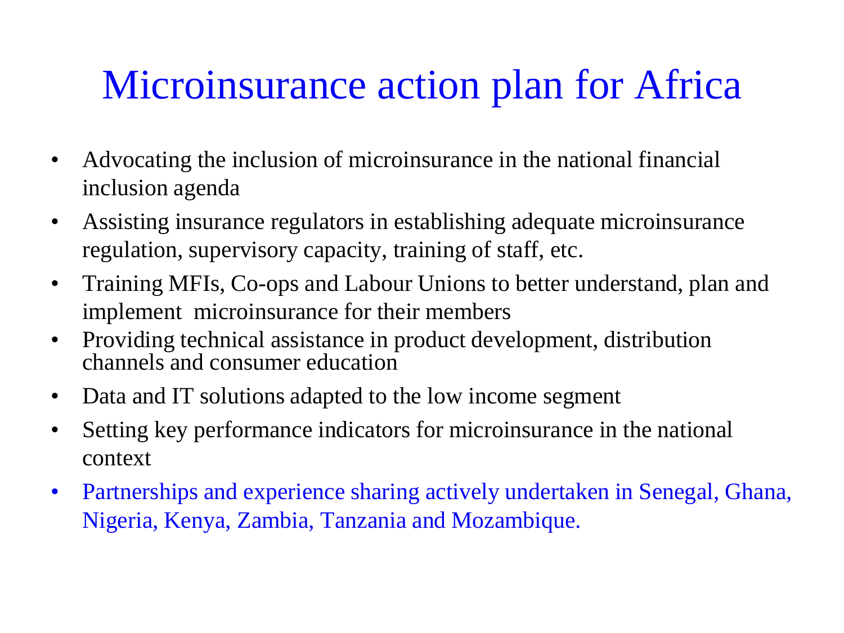#### Microinsurance action plan for Africa

- Advocating the inclusion of microinsurance in the national financial inclusion agenda
- Assisting insurance regulators in establishing adequate microinsurance regulation, supervisory capacity, training of staff, etc.
- Training MFIs, Co-ops and Labour Unions to better understand, plan and implement microinsurance for their members
- Providing technical assistance in product development, distribution channels and consumer education
- Data and IT solutions adapted to the low income segment
- Setting key performance indicators for microinsurance in the national context
- Partnerships and experience sharing actively undertaken in Senegal, Ghana, Nigeria, Kenya, Zambia, Tanzania and Mozambique.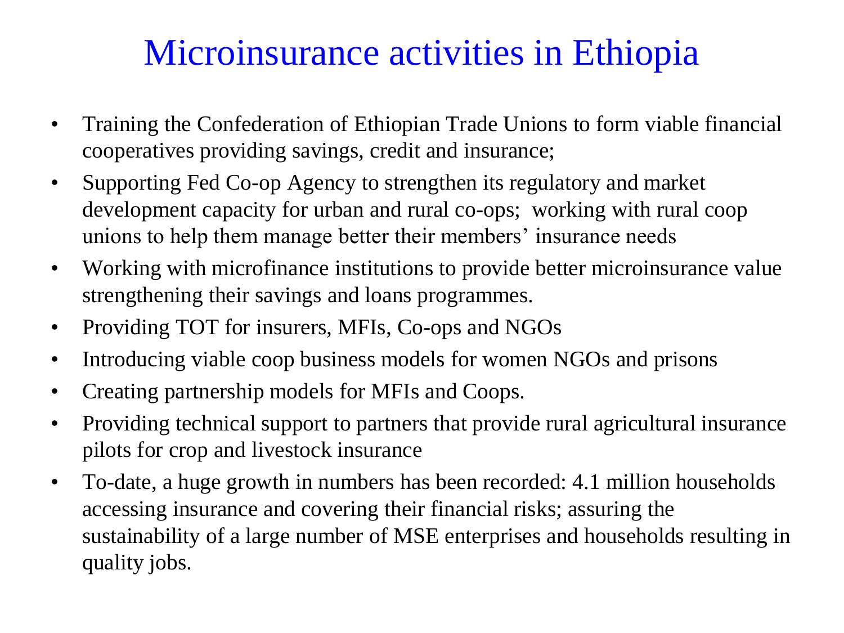#### Microinsurance activities in Ethiopia

- Training the Confederation of Ethiopian Trade Unions to form viable financial cooperatives providing savings, credit and insurance;
- Supporting Fed Co-op Agency to strengthen its regulatory and market development capacity for urban and rural co-ops; working with rural coop unions to help them manage better their members' insurance needs
- Working with microfinance institutions to provide better microinsurance value strengthening their savings and loans programmes.
- Providing TOT for insurers, MFIs, Co-ops and NGOs
- Introducing viable coop business models for women NGOs and prisons
- Creating partnership models for MFIs and Coops.
- Providing technical support to partners that provide rural agricultural insurance pilots for crop and livestock insurance
- To-date, a huge growth in numbers has been recorded: 4.1 million households accessing insurance and covering their financial risks; assuring the sustainability of a large number of MSE enterprises and households resulting in quality jobs.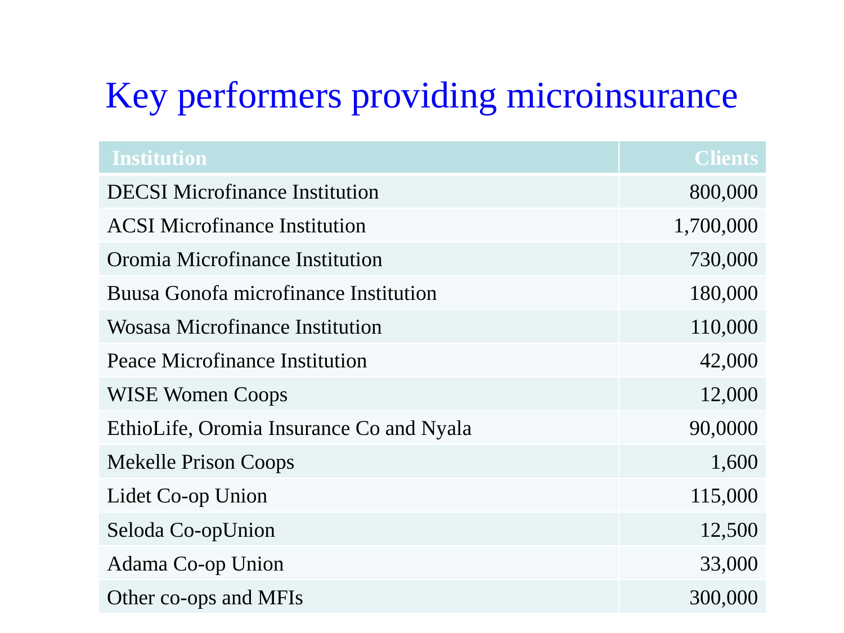#### Key performers providing microinsurance

| <b>Institution</b>                       | <b>Clients</b> |
|------------------------------------------|----------------|
| <b>DECSI</b> Microfinance Institution    | 800,000        |
| <b>ACSI</b> Microfinance Institution     | 1,700,000      |
| Oromia Microfinance Institution          | 730,000        |
| Buusa Gonofa microfinance Institution    | 180,000        |
| Wosasa Microfinance Institution          | 110,000        |
| Peace Microfinance Institution           | 42,000         |
| <b>WISE Women Coops</b>                  | 12,000         |
| EthioLife, Oromia Insurance Co and Nyala | 90,0000        |
| <b>Mekelle Prison Coops</b>              | 1,600          |
| Lidet Co-op Union                        | 115,000        |
| Seloda Co-opUnion                        | 12,500         |
| Adama Co-op Union                        | 33,000         |
| Other co-ops and MFIs                    | 300,000        |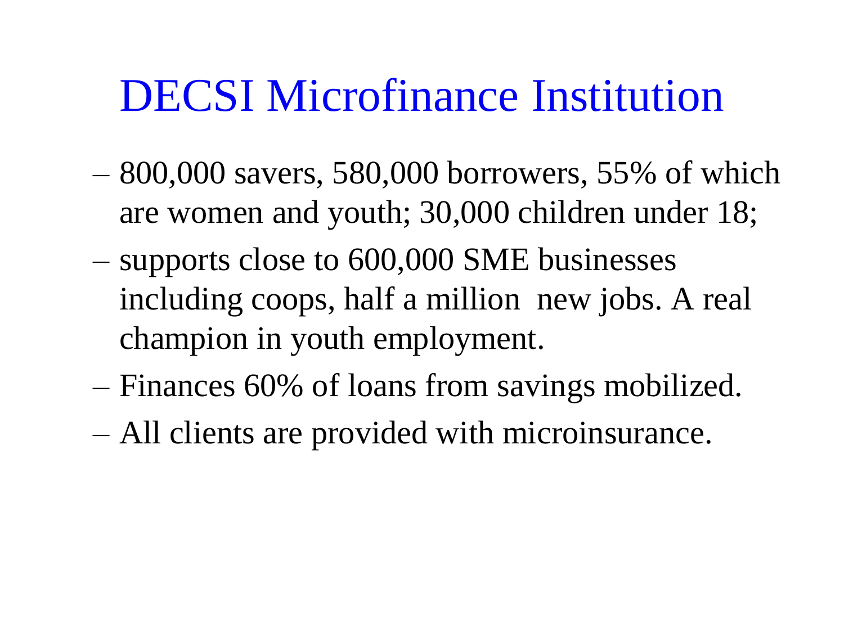## DECSI Microfinance Institution

- 800,000 savers, 580,000 borrowers, 55% of which are women and youth; 30,000 children under 18;
- supports close to 600,000 SME businesses including coops, half a million new jobs. A real champion in youth employment.
- Finances 60% of loans from savings mobilized.
- All clients are provided with microinsurance.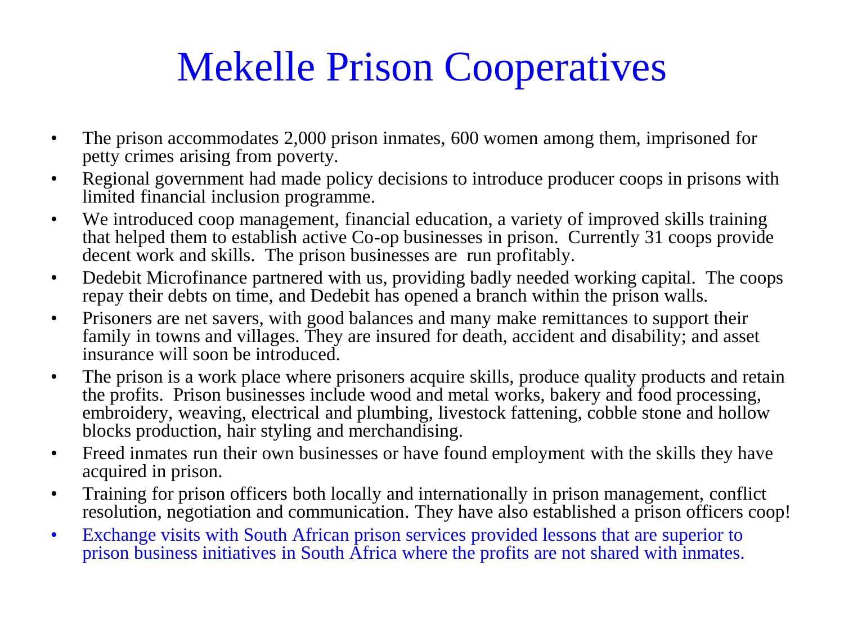## Mekelle Prison Cooperatives

- The prison accommodates 2,000 prison inmates, 600 women among them, imprisoned for petty crimes arising from poverty.
- Regional government had made policy decisions to introduce producer coops in prisons with limited financial inclusion programme.
- We introduced coop management, financial education, a variety of improved skills training that helped them to establish active Co-op businesses in prison. Currently 31 coops provide decent work and skills. The prison businesses are run profitably.
- Dedebit Microfinance partnered with us, providing badly needed working capital. The coops repay their debts on time, and Dedebit has opened a branch within the prison walls.
- Prisoners are net savers, with good balances and many make remittances to support their family in towns and villages. They are insured for death, accident and disability; and asset insurance will soon be introduced.
- The prison is a work place where prisoners acquire skills, produce quality products and retain the profits. Prison businesses include wood and metal works, bakery and food processing, embroidery, weaving, electrical and plumbing, livestock fattening, cobble stone and hollow blocks production, hair styling and merchandising.
- Freed inmates run their own businesses or have found employment with the skills they have acquired in prison.
- Training for prison officers both locally and internationally in prison management, conflict resolution, negotiation and communication. They have also established a prison officers coop!
- Exchange visits with South African prison services provided lessons that are superior to prison business initiatives in South Africa where the profits are not shared with inmates.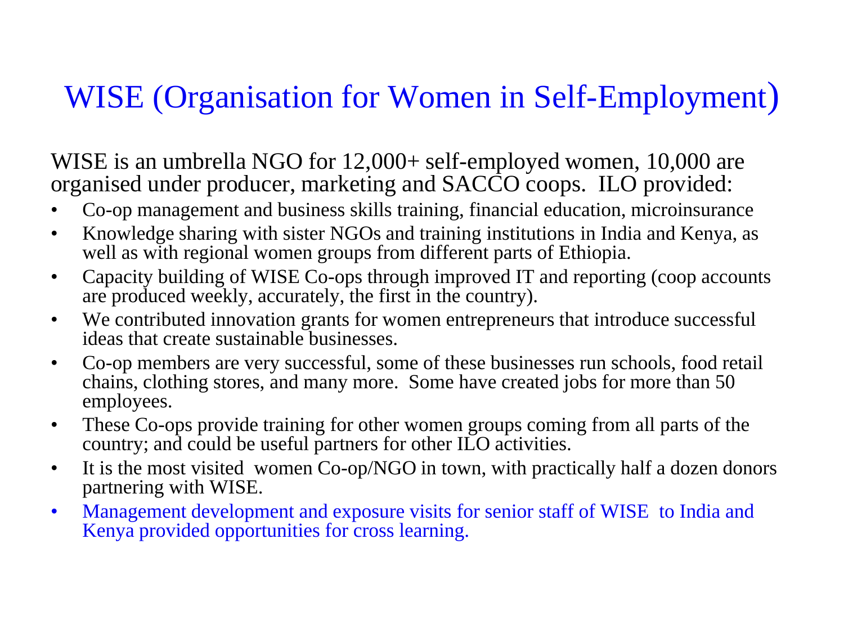#### WISE (Organisation for Women in Self-Employment)

WISE is an umbrella NGO for 12,000+ self-employed women, 10,000 are organised under producer, marketing and SACCO coops. ILO provided:

- Co-op management and business skills training, financial education, microinsurance
- Knowledge sharing with sister NGOs and training institutions in India and Kenya, as well as with regional women groups from different parts of Ethiopia.
- Capacity building of WISE Co-ops through improved IT and reporting (coop accounts are produced weekly, accurately, the first in the country).
- We contributed innovation grants for women entrepreneurs that introduce successful ideas that create sustainable businesses.
- Co-op members are very successful, some of these businesses run schools, food retail chains, clothing stores, and many more. Some have created jobs for more than 50 employees.
- These Co-ops provide training for other women groups coming from all parts of the country; and could be useful partners for other ILO activities.
- It is the most visited women Co-op/NGO in town, with practically half a dozen donors partnering with WISE.
- Management development and exposure visits for senior staff of WISE to India and Kenya provided opportunities for cross learning.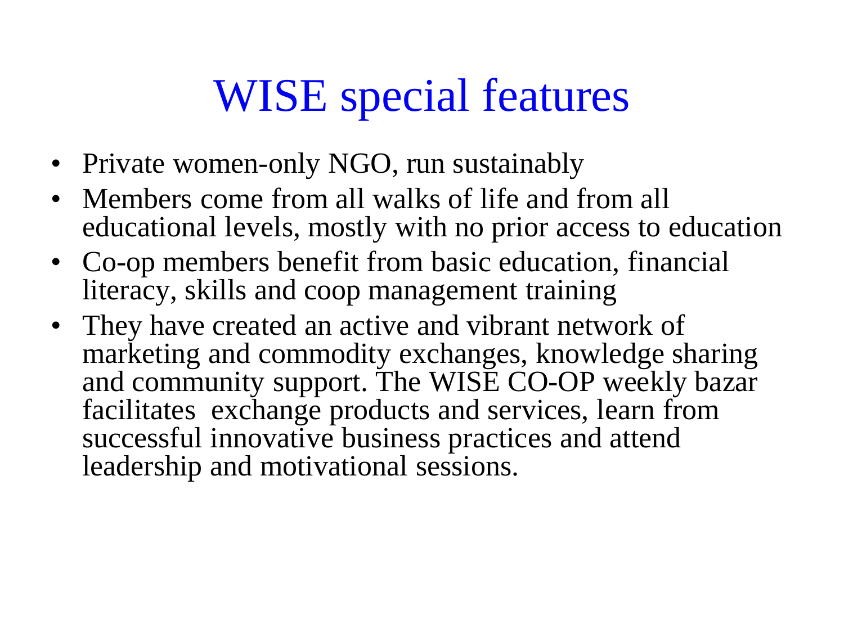# WISE special features

- Private women-only NGO, run sustainably
- Members come from all walks of life and from all educational levels, mostly with no prior access to education
- Co-op members benefit from basic education, financial literacy, skills and coop management training
- They have created an active and vibrant network of marketing and commodity exchanges, knowledge sharing and community support. The WISE CO-OP weekly bazar facilitates exchange products and services, learn from successful innovative business practices and attend leadership and motivational sessions.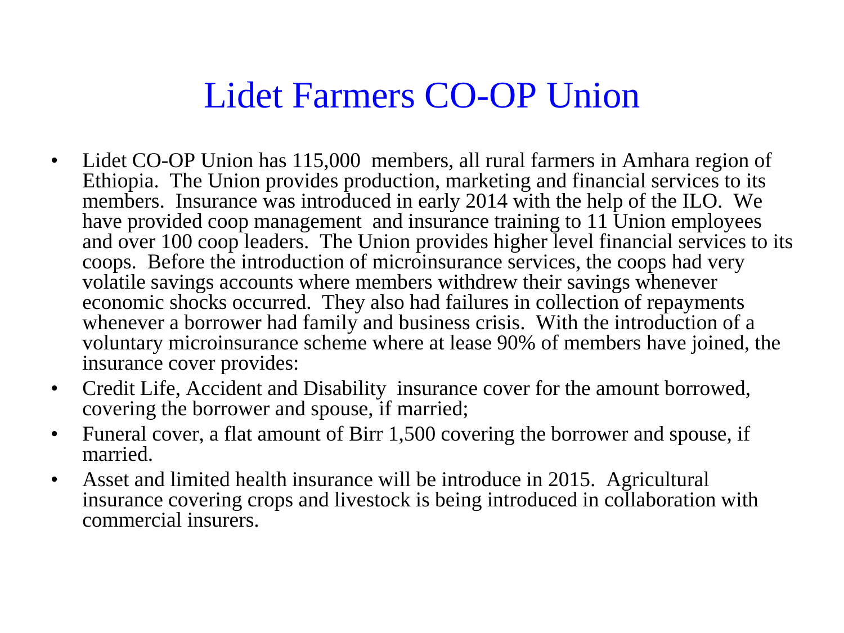#### Lidet Farmers CO-OP Union

- Lidet CO-OP Union has 115,000 members, all rural farmers in Amhara region of Ethiopia. The Union provides production, marketing and financial services to its members. Insurance was introduced in early 2014 with the help of the ILO. We have provided coop management and insurance training to 11 Union employees and over 100 coop leaders. The Union provides higher level financial services to its coops. Before the introduction of microinsurance services, the coops had very volatile savings accounts where members withdrew their savings whenever economic shocks occurred. They also had failures in collection of repayments whenever a borrower had family and business crisis. With the introduction of a voluntary microinsurance scheme where at lease 90% of members have joined, the insurance cover provides:
- Credit Life, Accident and Disability insurance cover for the amount borrowed, covering the borrower and spouse, if married;
- Funeral cover, a flat amount of Birr 1,500 covering the borrower and spouse, if married.
- Asset and limited health insurance will be introduce in 2015. Agricultural insurance covering crops and livestock is being introduced in collaboration with commercial insurers.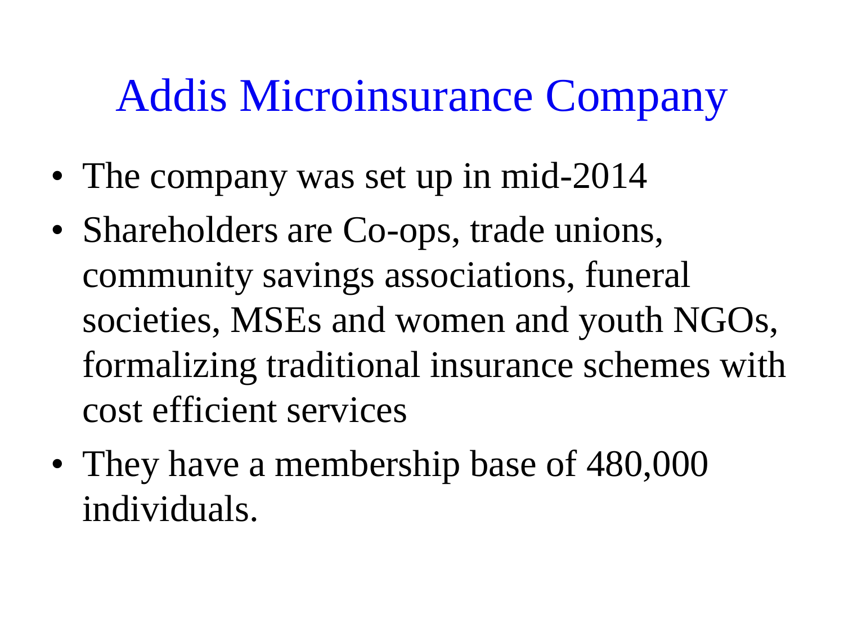# Addis Microinsurance Company

- The company was set up in mid-2014
- Shareholders are Co-ops, trade unions, community savings associations, funeral societies, MSEs and women and youth NGOs, formalizing traditional insurance schemes with cost efficient services
- They have a membership base of 480,000 individuals.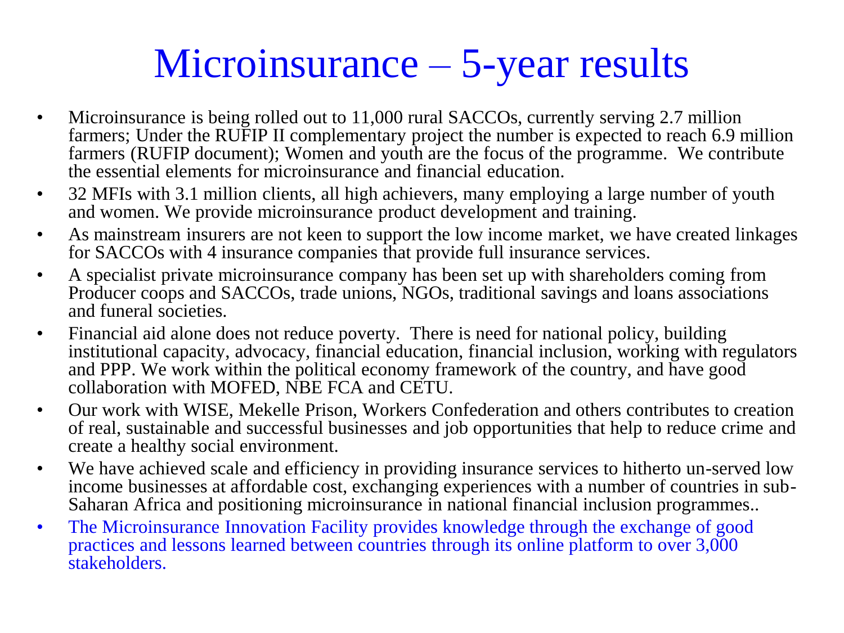## Microinsurance – 5-year results

- Microinsurance is being rolled out to 11,000 rural SACCOs, currently serving 2.7 million farmers; Under the RUFIP II complementary project the number is expected to reach 6.9 million farmers (RUFIP document); Women and youth are the focus of the programme. We contribute the essential elements for microinsurance and financial education.
- 32 MFIs with 3.1 million clients, all high achievers, many employing a large number of youth and women. We provide microinsurance product development and training.
- As mainstream insurers are not keen to support the low income market, we have created linkages for SACCOs with 4 insurance companies that provide full insurance services.
- A specialist private microinsurance company has been set up with shareholders coming from Producer coops and SACCOs, trade unions, NGOs, traditional savings and loans associations and funeral societies.
- Financial aid alone does not reduce poverty. There is need for national policy, building institutional capacity, advocacy, financial education, financial inclusion, working with regulators and PPP. We work within the political economy framework of the country, and have good collaboration with MOFED, NBE FCA and CETU.
- Our work with WISE, Mekelle Prison, Workers Confederation and others contributes to creation of real, sustainable and successful businesses and job opportunities that help to reduce crime and create a healthy social environment.
- We have achieved scale and efficiency in providing insurance services to hitherto un-served low income businesses at affordable cost, exchanging experiences with a number of countries in sub-Saharan Africa and positioning microinsurance in national financial inclusion programmes..
- The Microinsurance Innovation Facility provides knowledge through the exchange of good practices and lessons learned between countries through its online platform to over 3,000 stakeholders.